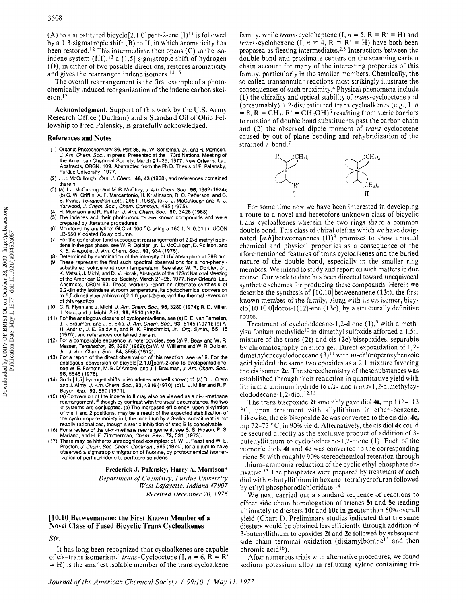$(A)$  to a substituted bicyclo<sup>[2.1.0]</sup>pent-2-ene  $(I)^{11}$  is followed by a 1,3-sigmatropic shift  $(B)$  to  $\overline{II}$ , in which aromaticity has been restored.12 This intermediate then opens *(C)* to the isoindene system  $(III);^{13}$  a [1,5] sigmatropic shift of hydrogen (D), in either of two possible directions, restores aromaticity and gives the rearranged indene isomers. $14,15$ 

The overall rearrangement is the first example of a photochemically induced reorganization of the indene carbon skeleton.<sup>17</sup>

**Acknowledgment.** Support of this work by the **US.** Army Research Office (Durham) and a Standard Oil of Ohio Fellowship to Fred Palensky, is gratefully acknowledged.

## **References and Notes**

- (1) Organic Photochemistry 36. Part 35, W. W. Schloman, Jr., and H. Morrison *J.* Am. Chem. SOC., in press. Presented at the 173rd National Meeting of the American Chemical Society, March 21-25, 1977, New Orleans, La., Abstracts, ORGN. 109. Abstracted from the Ph.D. Thesis of F. Palensky. Purdue University, 1977.
- J. J. McCullough. Can. *J.* Chem., 46, 43 (1968), and references contained therein.
- (a) J. J. McCullough and M. R. McClory, *J. Am. Chem. Soc.,* **96,** 1962 (1974);<br>(b) G. W. Griffin, A. F. Marcantonio, H. Kristinsson, R. C. Petterson, and C.<br>S. Irving, *Tetrahedron Lett.,* 2951 (1965); (c) J. J. McCulloug Yarwood, *J. Chem. Soc., Chem. Commun.*, 485 (1975).<br>H. Morrison and R. Peiffer, *J. Am. Chem. Soc.,* **90,** 3428 (1968).<br>The indenes and their photoproducts are known compounds and were
- 
- prepared by literature procedures.
- (6) Monitored by analytical GLC at 100 °C using a 150 ft X 0.01 in. UCON LB-550 **X** coated Goiay column.
- For the generation (and subsequent rearrangement) of 2,2dimethylisoin-dene in the gas phase, see W. **R.** Dolbier, Jr., L. McCullogh, D. Rolison, and **K. E.** Anapolle, *J.* Am. Chem. SOC., 97,934 (1975).
- Determined by examination of the intensity of UV absorption at 398 nm. These represent the first such spectral observations for a non-phenyl-substituted isolndene at room temperature. See also: W. R. Dolbier, Jr., K. Matsui, J. Michl, and D. V. Horak, Abstracts of the 173rd National Meeting of the American Chemical Society, March 21-25, 1977, New Orleans, La., Abstracts, ORGN 83. These workers report an alternate synthesis of 2.2dimethylisoindene at room tem erature, its photochemical conversion to **5,5dimethylbenzobicycl0[2.1** . .Or~ent-2ene, \_. and the thermal reversion of this reaction.
- C. R. Flynn and J. Michl, *J.* Am. Chem. SOC., 96, 3280 (1974); **R.** D. Miller, J. Kolc, and J. Michi, *bid.,* 98, 8510 (1976).
- (1 1) Fok the analogous closure of cyclopentadiene, see (a) E. E. van Tamelen, J. L Brauman, and L. E. Ellis, *J.* Am. Chem. SOC., 93, 6145 (1971); (b) A. H. Andrist, J. E. Baldwin, and R. K. Pinschmidt, Jr., *Org.* Synth., **55,** 15 (1975), and references contained therein.
- (12) For a comparable sequence in heterocycles, see (a) P. Beak and W. R. Messer, Tetrahedron, 25, 3287 (1969); (b) W. M. Wiilliams and W. R. Dolbier, Jr., *J.* Am. Chem. SOC., 94, 3955 (1972).
- (13) For a report of the direct observation of this reaction, see ref 9. For the analogous conversion of bicyclo[2.1.0]pent-2-ene to cyclopentadiene, see W. E. Farneth, **M.** B. D'Amore, and J. I. Brauman, *J.* Am. Chem. *SOC.,*  98, 5546 (1976).
- (14) Such [ 1,5] hydrogen shifts in isoindenes are well known: cf. (a) D. J. Cram and J. Almy, *J. Am. Chem. Soc.*, **92,** 4316 (1970); (b) L. L. Miller and R. F.<br>Boyer, *ibid.*, **93,** 650 (1971).<br>(15) (a) Conversion of the indene to II may also be viewed as a di- $\pi$ -methane<br>rearrangement,<sup>16</sup> though by
- $\pi$  systems are conjugated. (b) The increased efficiency, upon alkylation of the 1 and *2* positions, may be a result of the expected stabilization of the cyclopropane moiety in I; the inhibition by a 3-alkyl substituent is not readily rationalized. though a steric inhibition of step B is conceivable.
- (16) For a review of the di-n-methane rearrangement, see S. S. Hixson, P. **S.**  Mariano, and H. **E.** Zimmerman, Chem. Rev., 73, 531 (1973).
- (17) There may be hitherto unrecognized examples; cf. W. J. Feast and W. E. Preston, *J.* Chem. SOC. Chem. Commun., 985 (1974), for a claim to have observed a sigmatropic migration of fluorine, by photochemical isomerization of perfluorindene to perfiuoroisoindene.

#### **Frederick J. Palensky, Harry A. Morrison\***

Department of Chemistry, Purdue University West Lafayette, Indiana *47907*  Received December *20, 1976* 

# [ **10.10lBetweenanene: the First Known Member of a Novel Class of Fused Bicyclic Trans Cycloalkenes**

Sir:

It has long been recognized that cycloalkenes are capable of cis-trans isomerism.<sup>1</sup> trans-Cyclooctene (I,  $n = 6$ ,  $R = R'$ )  $=$  H) is the smallest isolable member of the trans cycloalkene family, while *trans*-cycloheptene  $(I, n = 5, R = R' = H)$  and *trans-cyclohexene* (I,  $n = 4$ ,  $R = R' = H$ ) have both been proposed as fleeting intermediates.2.3 Interactions between the double bond and proximate centers on the spanning carbon chain account for many of the interesting properties of this family, particularly in the smaller members. Chemically, the so-called transannular reactions most strikingly illustrate the consequences of such proximity.<sup>4</sup> Physical phenomena include (I) the chirality and optical stability of trans-cyclooctene and (presumably) 1,2-disubstituted trans cycloalkenes (e.g., I, *n*   $= 8$ , R = CH<sub>3</sub>, R' = CH<sub>2</sub>OH)<sup>6</sup> resulting from steric barriers to rotation of double bond substituents past the carbon chain and (2) the observed dipole moment of trans-cyclooctene caused by out of plane bending and rehybridization of the strained  $\pi$  bond.<sup>7</sup>



For some time now we have been interested in developing a route to a novel and heretofore unknown class of bicyclic trans cycloalkenes wherein the two rings share a common double bond. This class of chiral olefins which we have designated [a.b]betweenanenes **(11)8** promises to show unusual chemical and physical properties as a consequence of the aforementioned features of trans cycloalkenes and the buried nature of the double bond, especially in the smaller ring members. We intend to study and report on such matters in due course. Our work to date has been directed toward unequivocal synthetic schemes for producing these compounds. Herein we describe the synthesis of [ lO.lO]betweenanene **(13t),** the first known member of the family, along with its cis isomer, bicyclo[ 10.10.O]docos-1(12)-ene **(13c),** by a structurally definitive route.

Treatment of cyclododecane-1,2-dione  $(1)$ ,<sup>9</sup> with dimethylsulfonium methylide<sup>10</sup> in dimethyl sulfoxide afforded a 1.5:1 mixture of the trans **(2t)** and cis **(2c)** bisepoxides, separable by chromatography on silica gel. Direct expoxidation of 1,2 dimethylenecyclododecane **(3) 1** with m-chloroperoxybenzoic acid yielded the same two epoxides as a 2:l mixture favoring the cis isomer **2c.** The stereochemistry of these substances was established through their reduction in quantitative yield with lithium aluminum hydride to cis- and trans-1,2-dimethylcyclododecane- $1,2$ -diol.<sup>12,13</sup>

The trans bisepoxide **2t** smoothly gave diol **4t,** mp 1 12-1 13 <sup>o</sup>C, upon treatment with allyllithium in ether-benzene. Likewise, the cis bisepoxide **2c** was converted to the cis diol **4c,**  mp 72-73 "C, in 90% yield. Alternatively, the cis diol **4c** could be secured directly as the exclusive product of addition of 3 butenyllithium to cyclododecane-l,2-dione **(1).** Each of the isomeric diols **4t** and **4c** was converted to the corresponding triene **5t** with roughly 90% stereochemical retention through lithium-ammonia reduction of the cyclic ethyl phosphate derivative.<sup>13</sup> The phosphates were prepared by treatment of each diol with n-butyllithium in hexane-tetrahydrofuran followed by ethyl **phosphorodichloridate.I4** 

We next carried out a standard sequence of reactions to effect side chain homologation of trienes **5t** and **5c** leading ultimately to diesters **10t** and **1Oc** in greater than 60% overall yield (Chart I). Preliminary studies indicated that the same diesters would be obtained less efficiently through addition of 3-butenyllithium to epoxides **2t** and **2c** followed by subsequent side chain terminal oxidation (disiamylborane<sup>15</sup> and then chromic acid<sup>16</sup>).

After numerous trials with alternative procedures, we found sodium-potassium alloy in refluxing xylene containing tri-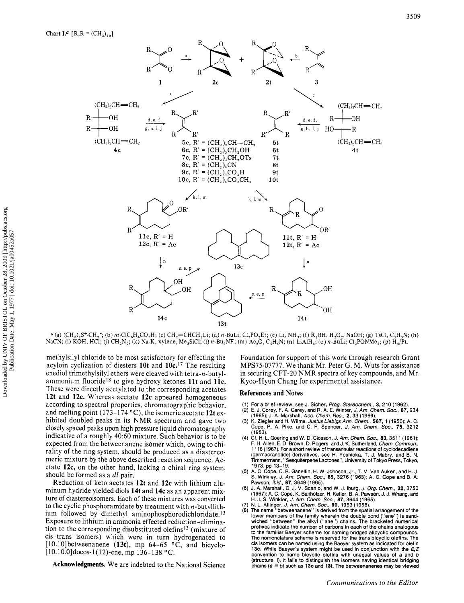

 $a$  (a) (CH<sub>3</sub>)<sub>2</sub>S<sup>+</sup>-CH<sub>2</sub><sup>-</sup>; (b) m-ClC<sub>6</sub>H<sub>4</sub>CO<sub>3</sub>H; (c) CH<sub>2</sub>=CHCH<sub>2</sub>Li; (d) n-BuLi, Cl<sub>2</sub>PO<sub>2</sub>Et; (e) Li, NH<sub>3</sub>; (f) R<sub>2</sub>BH, H<sub>2</sub>O<sub>2</sub>, NaOH; (g) TsCl, C<sub>5</sub>H<sub>5</sub>N; (h) NaCN; (i) KOH, HCl; (j) CH<sub>2</sub>N<sub>2</sub>; (k) Na-K, xylene, Me<sub>3</sub>SiCl; (l) n-Bu<sub>4</sub>NF; (m) Ac<sub>2</sub>O, C<sub>5</sub>H<sub>3</sub>N; (n) LiAlH<sub>4</sub>; (o) n-BuLi; Cl<sub>2</sub>PONMe<sub>2</sub>; (p) H<sub>2</sub>/Pt.

methylsilyl chloride to be most satisfactory for effecting the acyloin cyclization of diesters 10t and 10c.<sup>17</sup> The resulting enediol trimethylsilyl ethers were cleaved with tetra-n-butylammonium fluoride<sup>18</sup> to give hydroxy ketones 11t and 11c. These were directly acetylated to the corresponding acetates 12t and 12c. Whereas acetate 12c appeared homogeneous according to spectral properties, chromatographic behavior, and melting point (173-174  $^{\circ}$ C), the isomeric acetate 12t exhibited doubled peaks in its NMR spectrum and gave two closely spaced peaks upon high pressure liquid chromatography indicative of a roughly 40:60 mixture. Such behavior is to be expected from the betweenanene isomer which, owing to chirality of the ring system, should be produced as a diastereomeric mixture by the above described reaction sequence. Acetate 12c, on the other hand, lacking a chiral ring system, should be formed as a dl pair.

Reduction of keto acetates 12t and 12c with lithium aluminum hydride yielded diols 14t and 14c as an apparent mixture of diastereoisomers. Each of these mixtures was converted to the cyclic phosphoramidate by treatment with  $n$ -butyllithium followed by dimethyl aminophosphorodichloridate.<sup>13</sup> Exposure to lithium in ammonia effected reduction-elimination to the corresponding disubstituted olefins<sup>13</sup> (mixture of cis-trans isomers) which were in turn hydrogenated to [10.10] betweenanene (13t), mp  $64-65$  °C, and bicyclo- $[10.10.0]$ docos-1(12)-ene, mp 136–138 °C.

Acknowledgments. We are indebted to the National Science

Foundation for support of this work through research Grant MPS75-07777. We thank Mr. Peter G. M. Wuts for assistance in securing CFT-20 NMR spectra of key compounds, and Mr. Kyoo-Hyun Chung for experimental assistance.

#### **References and Notes**

- 
- (1) For a brief review, see J. Sicher, *Prog. Stereochem.*, 3, 210 (1962).<br>(2) E. J. Corey, F. A. Carey, and R. A. E. Winter, *J. Am. Chem. Soc.*, 87, 934<br>(1965), J. A. Marshall, *Acc. Chem. Res.*, 2, 33 (1969).
- K. Ziegler and H. Wilms, Justus Liebigs Ann. Chem., 567, 1 (1950); A. C.<br>Cope, R. A. Pike, and C. F. Spencer, J. Am. Chem., 567, 1 (1950); A. C.  $(3)$  $(1953)$ .
- (4) Cf. H. L. Goering and W. D. Closson, J. Am. Chem. Soc., 83, 3511 (1961); F. H. Allen, E. D. Brown, D. Rogers, and J. K. Sutherland, Chem. Commun., 1116 (1967). For a short review of transannular reactions of cyclodecadiene (germacranolide) derivatives, see H. Yoshioka, T. J. Mabry, and B. N. Timmermann, "Sesquiterpene Lactones", University of Tokyo Press, Tokyo, 1973, pp 13-19.
- (5) A. C. Cope, C. R. Ganellin, H. W. Johnson, Jr., T. V. Van Auken, and H. J.<br>S. Winkley, J. Am. Chem. Soc., 85, 3276 (1963); A. C. Cope and B. A. Pawson, ibid., 87, 3649 (1965).
- (6) J. A. Marshall, C. J. V. Scanio, and W. J. Iburg, J. Org. Chem., 32, 3750<br>(1967): A. C. Cope, K. Banholzer, H. Keller, B. A. Pawson, J. J. Whang, and H. J. S. Winkler, J. Am. Chem. Soc., 87, 3644 (1965).<br>(7) N. L. Allinger, J. Am. Chem. Soc., 80, 1953 (1958).<br>(8) The name "betweenanene" is derived from the spatial arrangement of the
- 
- lower members of the family wherein the double bond ("ene") is sand-<br>wiched "between" the alkyl ("ane") chains. The bracketed numerical<br>prefixes indicate the number of carbons in each of the chains analogous to the familiar Baeyer scheme for naming bridged alicyclic compounds. The nomenclature scheme is reserved for the trans bicyclic olefins. The cis isomers can be named using the Baeyer system as indicated for olefin 13c. While Baeyer's system might be used in conjunction with the  $E, Z$ convention to name bicyclic olefins with unequal values of a and b (structure II), it fails to distinguish the isomers having identical bridging chains ( $a = b$ ) such as 13c and 13t. The betweenanenes may be viewed

Downloaded by UNIV OF BRISTOL on October 28, 2009 | http://pubs.acs.org<br>Publication Date: May 1, 1977 | doi: 10.1021/ja00452a057